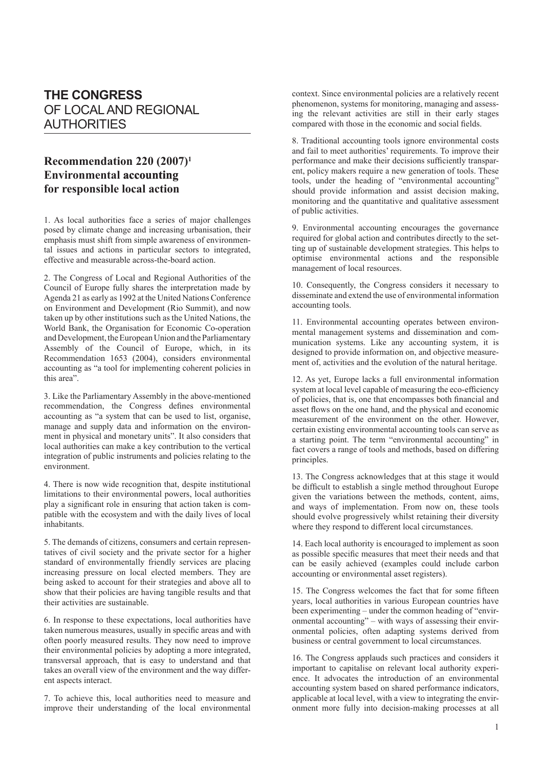## **THE CONGRESS** OF LOCAL AND REGIONAL AUTHORITIES

## **Recommendation 220 (2007)1 Environmental accounting for responsible local action**

1. As local authorities face a series of major challenges posed by climate change and increasing urbanisation, their emphasis must shift from simple awareness of environmental issues and actions in particular sectors to integrated, effective and measurable across-the-board action.

2. The Congress of Local and Regional Authorities of the Council of Europe fully shares the interpretation made by Agenda 21 as early as 1992 at the United Nations Conference on Environment and Development (Rio Summit), and now taken up by other institutions such as the United Nations, the World Bank, the Organisation for Economic Co-operation and Development, the European Union and the Parliamentary Assembly of the Council of Europe, which, in its Recommendation 1653 (2004), considers environmental accounting as "a tool for implementing coherent policies in this area".

3. Like the Parliamentary Assembly in the above-mentioned recommendation, the Congress defines environmental accounting as "a system that can be used to list, organise, manage and supply data and information on the environment in physical and monetary units". It also considers that local authorities can make a key contribution to the vertical integration of public instruments and policies relating to the environment.

4. There is now wide recognition that, despite institutional limitations to their environmental powers, local authorities play a significant role in ensuring that action taken is compatible with the ecosystem and with the daily lives of local inhabitants.

5. The demands of citizens, consumers and certain representatives of civil society and the private sector for a higher standard of environmentally friendly services are placing increasing pressure on local elected members. They are being asked to account for their strategies and above all to show that their policies are having tangible results and that their activities are sustainable.

6. In response to these expectations, local authorities have taken numerous measures, usually in specific areas and with often poorly measured results. They now need to improve their environmental policies by adopting a more integrated, transversal approach, that is easy to understand and that takes an overall view of the environment and the way different aspects interact.

7. To achieve this, local authorities need to measure and improve their understanding of the local environmental context. Since environmental policies are a relatively recent phenomenon, systems for monitoring, managing and assessing the relevant activities are still in their early stages compared with those in the economic and social fields.

8. Traditional accounting tools ignore environmental costs and fail to meet authorities' requirements. To improve their performance and make their decisions sufficiently transparent, policy makers require a new generation of tools. These tools, under the heading of "environmental accounting" should provide information and assist decision making, monitoring and the quantitative and qualitative assessment of public activities.

9. Environmental accounting encourages the governance required for global action and contributes directly to the setting up of sustainable development strategies. This helps to optimise environmental actions and the responsible management of local resources.

10. Consequently, the Congress considers it necessary to disseminate and extend the use of environmental information accounting tools.

11. Environmental accounting operates between environmental management systems and dissemination and communication systems. Like any accounting system, it is designed to provide information on, and objective measurement of, activities and the evolution of the natural heritage.

12. As yet, Europe lacks a full environmental information system at local level capable of measuring the eco-efficiency of policies, that is, one that encompasses both financial and asset flows on the one hand, and the physical and economic measurement of the environment on the other. However, certain existing environmental accounting tools can serve as a starting point. The term "environmental accounting" in fact covers a range of tools and methods, based on differing principles.

13. The Congress acknowledges that at this stage it would be difficult to establish a single method throughout Europe given the variations between the methods, content, aims, and ways of implementation. From now on, these tools should evolve progressively whilst retaining their diversity where they respond to different local circumstances.

14. Each local authority is encouraged to implement as soon as possible specific measures that meet their needs and that can be easily achieved (examples could include carbon accounting or environmental asset registers).

15. The Congress welcomes the fact that for some fifteen years, local authorities in various European countries have been experimenting – under the common heading of "environmental accounting" – with ways of assessing their environmental policies, often adapting systems derived from business or central government to local circumstances.

16. The Congress applauds such practices and considers it important to capitalise on relevant local authority experience. It advocates the introduction of an environmental accounting system based on shared performance indicators, applicable at local level, with a view to integrating the environment more fully into decision-making processes at all